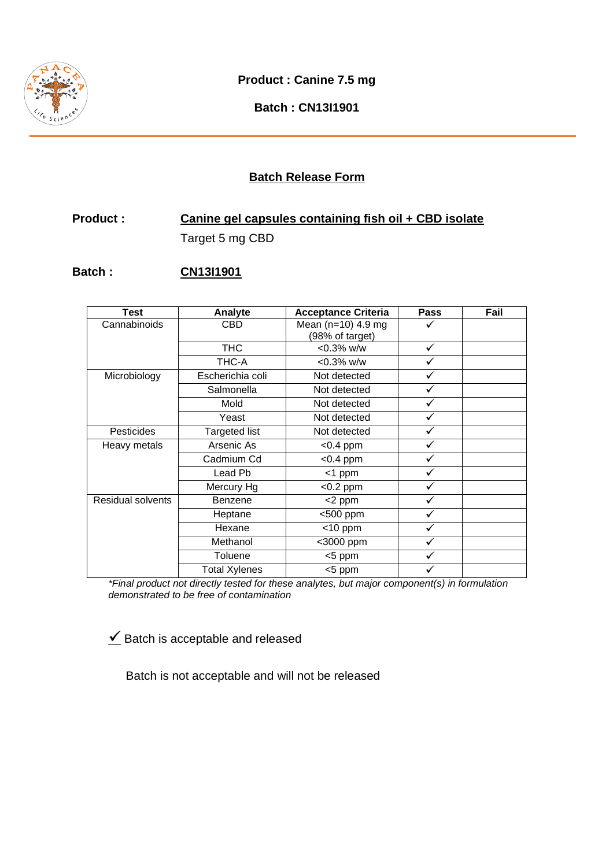

**Product : Canine 7.5 mg** 

**Batch : CN13I1901** 

## **Batch Release Form**

# **Product : Canine gel capsules containing fish oil + CBD isolate**  Target 5 mg CBD

### **Batch : CN13I1901**

| <b>Test</b>       | Analyte              | <b>Acceptance Criteria</b> | <b>Pass</b> | Fail |
|-------------------|----------------------|----------------------------|-------------|------|
| Cannabinoids      | CBD                  | Mean ( $n=10$ ) 4.9 mg     |             |      |
|                   |                      | (98% of target)            |             |      |
|                   | <b>THC</b>           | $< 0.3\%$ w/w              | ✓           |      |
|                   | THC-A                | $< 0.3\%$ w/w              |             |      |
| Microbiology      | Escherichia coli     | Not detected               |             |      |
|                   | Salmonella           | Not detected               |             |      |
|                   | Mold                 | Not detected               | ✓           |      |
|                   | Yeast                | Not detected               | ✓           |      |
| <b>Pesticides</b> | Targeted list        | Not detected               | ✓           |      |
| Heavy metals      | Arsenic As           | $<$ 0.4 ppm                | ✓           |      |
|                   | Cadmium Cd           | $<$ 0.4 ppm                | ✓           |      |
|                   | Lead Pb              | $<$ 1 ppm                  | ✓           |      |
|                   | Mercury Hg           | $<$ 0.2 ppm                | ✓           |      |
| Residual solvents | Benzene              | <2 ppm                     |             |      |
|                   | Heptane              | <500 ppm                   |             |      |
|                   | Hexane               | $<$ 10 ppm                 |             |      |
|                   | Methanol             | <3000 ppm                  | ✓           |      |
|                   | Toluene              | <5 ppm                     | ✓           |      |
|                   | <b>Total Xylenes</b> | <5 ppm                     |             |      |

\*Final product not directly tested for these analytes, but major component(s) in formulation demonstrated to be free of contamination

 $\angle$  Batch is acceptable and released

Batch is not acceptable and will not be released